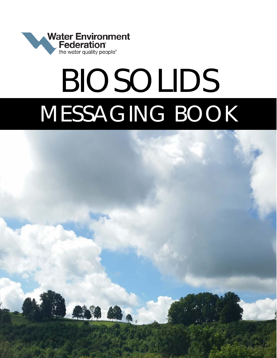

# BIOSOLIDS MESSAGING BOOK

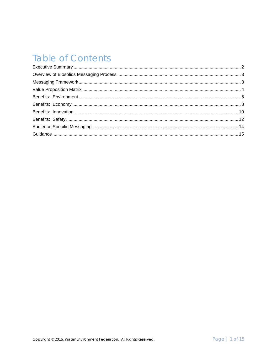# **Table of Contents**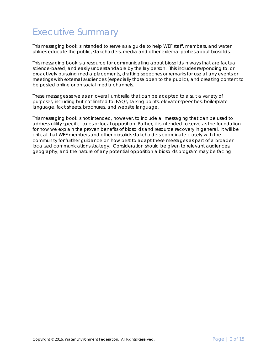## <span id="page-2-0"></span>Executive Summary

This messaging book is intended to serve as a guide to help WEF staff, members, and water utilities educate the public, stakeholders, media and other external parties about biosolids.

This messaging book is a resource for communicating about biosolids in ways that are factual, science-based, and easily understandable by the lay person. This includes responding to, or proactively pursuing media placements, drafting speeches or remarks for use at any events or meetings with external audiences (especially those open to the public), and creating content to be posted online or on social media channels.

These messages serve as an overall umbrella that can be adapted to a suit a variety of purposes, including but not limited to: FAQs, talking points, elevator speeches, boilerplate language, fact sheets, brochures, and website language.

This messaging book is not intended, however, to include all messaging that can be used to address utility-specific issues or local opposition. Rather, it is intended to serve as the foundation for how we explain the proven benefits of biosolids and resource recovery in general. It will be critical that WEF members and other biosolids stakeholders coordinate closely with the community for further guidance on how best to adapt these messages as part of a broader localized communications strategy. Consideration should be given to relevant audiences, geography, and the nature of any potential opposition a biosolids program may be facing.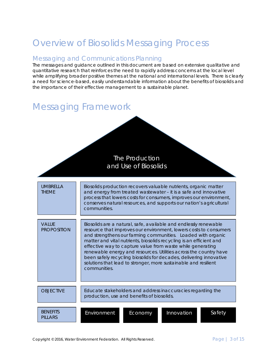# <span id="page-3-0"></span>Overview of Biosolids Messaging Process

## Messaging and Communications Planning

The messages and guidance outlined in this document are based on extensive qualitative and quantitative research that reinforces the need to rapidly address concerns at the local level while amplifying broader positive themes at the national and international levels. There is clearly a need for science-based, easily understandable information about the benefits of biosolids and the importance of their effective management to a sustainable planet.

## <span id="page-3-1"></span>Messaging Framework

The Production and Use of Biosolids

UMBRELLA THEME VALUE **PROPOSITION** Biosolids production recovers valuable nutrients, organic matter and energy from treated wastewater – it is a safe and innovative process that lowers costs for consumers, improves our environment, conserves natural resources, and supports our nation's agricultural communities. Biosolids are a natural, safe, available and endlessly renewable resource that improves our environment, lowers costs to consumers and strengthens our farming communities. Loaded with organic matter and vital nutrients, biosolids recycling is an efficient and effective way to capture value from waste while generating renewable energy and resources. Utilities across the country have been safely recycling biosolids for decades, delivering innovative solutions that lead to stronger, more sustainable and resilient communities.

> Educate stakeholders and address inaccuracies regarding the production, use and benefits of biosolids.

|  | <b>BENEFITS</b><br>PILLARS | Environment | Economy | Innovation | Safety |
|--|----------------------------|-------------|---------|------------|--------|
|--|----------------------------|-------------|---------|------------|--------|

**OBJECTIVE**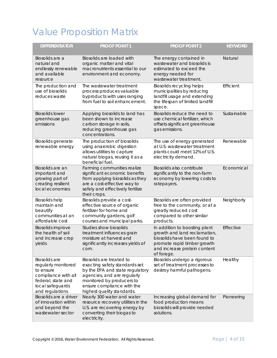# <span id="page-4-0"></span>Value Proposition Matrix

| <b>DIFFERENTIATOR</b>                                                                                                                        | <b>PROOF POINT 1</b>                                                                                                                                                                                                 | <b>PROOF POINT 2</b>                                                                                                                                                       | <b>KEYWORD</b> |
|----------------------------------------------------------------------------------------------------------------------------------------------|----------------------------------------------------------------------------------------------------------------------------------------------------------------------------------------------------------------------|----------------------------------------------------------------------------------------------------------------------------------------------------------------------------|----------------|
| Biosolids are a<br>natural and<br>endlessly renewable<br>and available<br>resource                                                           | Biosolids are loaded with<br>organic matter and vital<br>macronutrients essential to our<br>environment and economy.                                                                                                 | The energy contained in<br>wastewater and biosolids is<br>estimated to exceed the<br>energy needed for<br>wastewater treatment.                                            | Natural        |
| The production and<br>use of biosolids<br>reduces waste                                                                                      | The wastewater treatment<br>process produces valuable<br>byproducts with uses ranging<br>from fuel to soil enhancement.                                                                                              | <b>Biosolids recycling helps</b><br>municipalities by reducing<br>landfill usage and extending<br>the lifespan of limited landfill<br>space.                               | Efficient      |
| <b>Biosolids lower</b><br>greenhouse gas<br>emissions                                                                                        | Applying biosolids to land has<br>been shown to increase<br>carbon storage in soils,<br>reducing greenhouse gas<br>concentrations.                                                                                   | Biosolids reduce the need to<br>use chemical fertilizer, which<br>offsets significant greenhouse<br>gas emissions.                                                         | Sustainable    |
| Biosolids generate<br>renewable energy                                                                                                       | The production of biosolids<br>using anaerobic digestion<br>allows utilities to capture<br>natural biogas, reusing it as a<br>beneficial fuel.                                                                       | The use of energy generated<br>at U.S. wastewater treatment<br>plants could meet 12% of U.S.<br>electricity demand.                                                        | Renewable      |
| Biosolids are an<br>important and<br>growing part of<br>creating resilient<br>local economies                                                | Farming communities realize<br>significant economic benefits<br>from applying biosolids as they<br>are a cost-effective way to<br>safely and effectively fertilize<br>their crops.                                   | Biosolids also contribute<br>significantly to the non-farm<br>economy by lowering costs to<br>ratepayers.                                                                  | Economical     |
| <b>Biosolids help</b><br>maintain and<br>beautify<br>communities at an<br>affordable cost                                                    | Biosolids provide a cost-<br>effective source of organic<br>fertilizer for home and<br>community gardens, golf<br>courses and municipal parks.                                                                       | Biosolids are often provided<br>free to the community, or at a<br>greatly reduced cost<br>compared to other similar<br>products.                                           | Neighborly     |
| <b>Biosolids improve</b><br>the health of soil<br>and increase crop<br>yields                                                                | <b>Studies show biosolids</b><br>treatment influences grain<br>moisture at harvest and<br>significantly increases yields of<br>corn.                                                                                 | In addition to boosting plant<br>growth and land reclamation,<br>biosolids have been found to<br>promote rapid timber growth<br>and increase protein content<br>of forage. | Effective      |
| <b>Biosolids</b> are<br>regularly monitored<br>to ensure<br>compliance with all<br>federal, state and<br>local safeguards<br>and regulations | Biosolids are treated to<br>exacting safety standards set<br>by the EPA and state regulatory<br>agencies, and are regularly<br>monitored by producers to<br>ensure compliance with the<br>highest quality standards. | Biosolids undergo a rigorous<br>set of treatment processes to<br>destroy harmful pathogens.                                                                                | Healthy        |
| Biosolids are a driver<br>of innovation within<br>and beyond the<br>wastewater sector                                                        | Nearly 300 water and water<br>resource recovery utilities in the<br>U.S. are recovering energy by<br>converting their biogas to<br>electricity.                                                                      | Increasing global demand for<br>food production means<br>biosolids will provide needed<br>solutions.                                                                       | Pioneering     |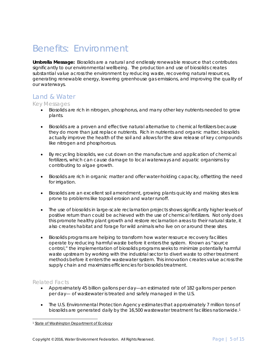## <span id="page-5-0"></span>Benefits: Environment

*Umbrella Message:* Biosolids are a natural and endlessly renewable resource that contributes significantly to our environmental wellbeing. The production and use of biosolids creates substantial value across the environment by reducing waste, recovering natural resources, generating renewable energy, lowering greenhouse gas emissions, and improving the quality of our waterways.

### Land & Water

Key Messages

- Biosolids are rich in nitrogen, phosphorus, and many other key nutrients needed to grow plants.
- Biosolids are a proven and effective natural alternative to chemical fertilizers because they do more than just replace nutrients. Rich in nutrients and organic matter, biosolids actually improve the health of the soil and allows for the slow release of key compounds like nitrogen and phosphorous.
- By recycling biosolids, we cut down on the manufacture and application of chemical fertilizers, which can cause damage to local waterways and aquatic organisms by contributing to algae growth.
- Biosolids are rich in organic matter and offer water-holding capacity, offsetting the need for irrigation.
- Biosolids are an excellent soil amendment, growing plants quickly and making sites less prone to problems like topsoil erosion and water runoff.
- The use of biosolids in large-scale reclamation projects shows significantly higher levels of positive return than could be achieved with the use of chemical fertilizers. Not only does this promote healthy plant growth and restore reclamation areas to their natural state, it also creates habitat and forage for wild animals who live on or around these sites.
- Biosolids programs are helping to transform how water resource recovery facilities operate by reducing harmful waste before it enters the system. Known as "source control," the implementation of biosolids programs seeks to minimize potentially harmful waste upstream by working with the industrial sector to divert waste to other treatment methods before it enters the wastewater system. This innovation creates value across the supply chain and maximizes efficiencies for biosolids treatment.

- Approximately 45 billion gallons per day—an estimated rate of 182 gallons per person per day— of wastewater is treated and safely managed in the U.S.
- The U.S. Environmental Protection Agency estimates that approximately 7 million tons of biosolids are generated daily by the [1](#page-5-1)6,500 wastewater treatment facilities nationwide.<sup>1</sup>

<span id="page-5-1"></span> <sup>1</sup> *[State of Washington Department of Ecology](http://www.ecy.wa.gov/programs/swfa/biosolids/faq.html)*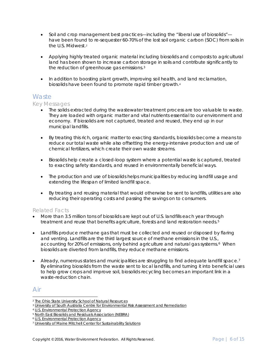- Soil and crop management best practices—including the "liberal use of biosolids" have been found to re-sequester 60-70% of the lost soil organic carbon (SOC) from soils in the U.S. Midwest.[2](#page-6-0)
- Applying highly treated organic material including biosolids and composts to agricultural land has been shown to increase carbon storage in soils and contribute significantly to the reduction of greenhouse gas emissions.<sup>[3](#page-6-1)</sup>
- In addition to boosting plant growth, improving soil health, and land reclamation, biosolids have been found to promote rapid timber growth.[4](#page-6-2)

## **Waste**

#### Key Messages

- The solids extracted during the wastewater treatment process are too valuable to waste. They are loaded with organic matter and vital nutrients essential to our environment and economy. If biosolids are not captured, treated and reused, they end up in our municipal landfills.
- By treating this rich, organic matter to exacting standards, biosolids become a means to reduce our total waste while also offsetting the energy-intensive production and use of chemical fertilizers, which create their own waste streams.
- Biosolids help create a closed-loop system where a potential waste is captured, treated to exacting safety standards, and reused in environmentally beneficial ways.
- The production and use of biosolids helps municipalities by reducing landfill usage and extending the lifespan of limited landfill space.
- By treating and reusing material that would otherwise be sent to landfills, utilities are also reducing their operating costs and passing the savings on to consumers.

#### Related Facts

- More than 3.5 million tons of biosolids are kept out of U.S. landfills each year through treatment and reuse that benefits agriculture, forests and land restoration needs.<sup>[5](#page-6-3)</sup>
- Landfills produce methane gas that must be collected and reused or disposed by flaring and venting. Landfills are the third largest source of methane emissions in the U.S., accounting for 20% of emissions, only behind agriculture and natural gas systems.<sup>[6](#page-6-4)</sup> When biosolids are diverted from landfills, they reduce methane emissions.
- Already, numerous states and municipalities are struggling to find adequate landfill space.<sup>[7](#page-6-5)</sup> By eliminating biosolids from the waste sent to local landfills, and turning it into beneficial uses to help grow crops and improve soil, biosolids recycling becomes an important link in a waste-reduction chain.

## Air

<span id="page-6-0"></span><sup>-</sup>*<sup>2</sup> [The Ohio State University School of Natural Resources](http://www.ncbi.nlm.nih.gov/pubmed/11822713)*

<span id="page-6-1"></span>*<sup>3</sup> [University of South Australia Centre for Environmental Risk Assessment and Remediation](http://www.massey.ac.nz/%7Eflrc/workshops/12/Manuscripts/Bolan_1_2012.pdf)*

<span id="page-6-2"></span>*<sup>4</sup> [U.S. Environmental Protection Agency](https://www.epa.gov/biosolids/frequent-questions-about-biosolids)*

<span id="page-6-3"></span>*<sup>5</sup> [North East Biosolids and Residuals Association \(NEBRA\)](https://static1.squarespace.com/static/54806478e4b0dc44e1698e88/t/5488541fe4b03c0a9b8ee09b/1418220575693/NtlBiosolidsReport-20July07.pdf)*

<span id="page-6-4"></span><sup>6</sup> *[U.S. Environmental Protection Agency](https://www.epa.gov/ghgemissions/overview-greenhouse-gases#methane)*

<span id="page-6-5"></span><sup>7</sup> *[University of Maine Mitchell Center for Sustainability Solutions](http://umaine.edu/mitchellcenter/files/2015/02/FINALSolid-Waste-Whitepaper-2.pdf)*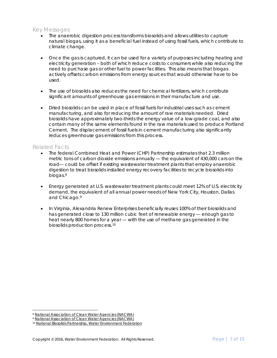#### Key Messages

- The anaerobic digestion process transforms biosolids and allows utilities to capture natural biogas, using it as a beneficial fuel instead of using fossil fuels, which contribute to climate change.
- Once the gas is captured, it can be used for a variety of purposes including heating and electricity generation – both of which reduce costs to consumers while also reducing the need to purchase gas or other fuel to power facilities. This also means that biogas actively offsets carbon emissions from energy sources that would otherwise have to be used.
- The use of biosolids also reduces the need for chemical fertilizers, which contribute significant amounts of greenhouse gas emissions in their manufacture and use.
- Dried biosolids can be used in place of fossil fuels for industrial uses such as cement manufacturing, and also for reducing the amount of raw materials needed. Dried biosolids have approximately two-thirds the energy value of a low-grade coal, and also contain many of the same elements found in the raw materials used to produce Portland Cement. The displacement of fossil fuels in cement manufacturing also significantly reduces greenhouse gas emissions from this process.

- The federal Combined Heat and Power (CHP) Partnership estimates that 2.3 million metric tons of carbon dioxide emissions annually — the equivalent of 430,000 cars on the road— could be offset if existing wastewater treatment plants that employ anaerobic digestion to treat biosolids installed energy recovery facilities to recycle biosolids into biogas.[8](#page-7-0)
- Energy generated at U.S. wastewater treatment plants could meet 12% of U.S. electricity demand, the equivalent of all annual power needs of New York City, Houston, Dallas and Chicago.[9](#page-7-1)
- In Virginia, Alexandria Renew Enterprises beneficially reuses 100% of their biosolids and has generated close to 130 million cubic feet of renewable energy — enough gas to heat nearly 800 homes for a year — with the use of methane gas generated in the biosolids production process.[10](#page-7-2)

<span id="page-7-0"></span> <sup>8</sup> *[National Association of Clean Water Agencies \(NACWA\)](http://www.cityofpaloalto.org/civicax/filebank/documents/23063/)*

<span id="page-7-1"></span><sup>9</sup> *[National Association of Clean Water Agencies \(NACWA\)](http://www.americanbiogascouncil.org/pdf/briefing15may12_nacwa.pdf)*

<span id="page-7-2"></span><sup>10</sup> *[National Biosolids Partnership, Water Environment Federation](http://www.wef.org/uploadedFiles/Biosolids/Biosolids_Management_Program/NBP%20Year-in-Review%20Compiled%2008-DEC-2014ver-rev15.pdf)*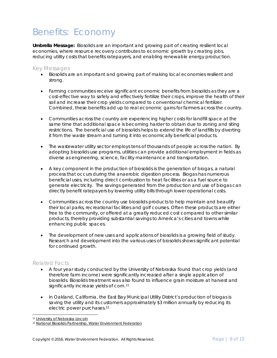# <span id="page-8-0"></span>Benefits: Economy

*Umbrella Message:* Biosolids are an important and growing part of creating resilient local economies, where resource recovery contributes to economic growth by creating jobs, reducing utility costs that benefits ratepayers, and enabling renewable energy production.

#### Key Messages

- Biosolids are an important and growing part of making local economies resilient and strong.
- Farming communities receive significant economic benefits from biosolids as they are a cost-effective way to safely and effectively fertilize their crops, improve the health of their soil and increase their crop yields compared to conventional chemical fertilizer. Combined, these benefits add up to real economic gains for farmers across the country.
- Communities across the country are experiencing higher costs for landfill space at the same time that additional space is becoming harder to obtain due to zoning and siting restrictions. The beneficial use of biosolids helps to extend the life of landfills by diverting it from the waste stream and turning it into economically beneficial products.
- The wastewater utility sector employs tens of thousands of people across the nation. By adopting biosolids use programs, utilities can provide additional employment in fields as diverse as engineering, science, facility maintenance and transportation.
- A key component in the production of biosolids is the generation of biogas, a natural process that occurs during the anaerobic digestion process. Biogas has numerous beneficial uses, including direct combustion to heat facilities or as a fuel source to generate electricity. The savings generated from the production and use of biogas can directly benefit ratepayers by lowering utility bills through lower operational costs.
- Communities across the country use biosolids products to help maintain and beautify their local parks, recreational facilities and golf courses. Often these products are either free to the community, or offered at a greatly reduced cost compared to other similar products, thereby providing substantial savings to America's cities and towns while enhancing public spaces.
- The development of new uses and applications of biosolids is a growing field of study. Research and development into the various uses of biosolids shows significant potential for continued growth.

- A four year study conducted by the University of Nebraska found that crop yields (and therefore farm income) were significantly increased after a single application of biosolids. Biosolids treatment was also found to influence grain moisture at harvest and significantly increase yields of corn.<sup>[11](#page-8-1)</sup>
- In Oakland, California, the East Bay Municipal Utility District's production of biogas is saving the utility and its customers approximately \$3 million annually by reducing its electric power purchases.[12](#page-8-2)

 <sup>11</sup> *[University of Nebraska-Lincoln](http://lancaster.unl.edu/enviro/biosolids/fertil.shtml)*

<span id="page-8-2"></span><span id="page-8-1"></span><sup>12</sup> *[National Biosolids Partnership, Water Environment Federation](http://www.wef.org/uploadedFiles/Biosolids/Biosolids_Management_Program/NBP%20Year-in-Review%20Compiled%2008-DEC-2014ver-rev15.pdf)*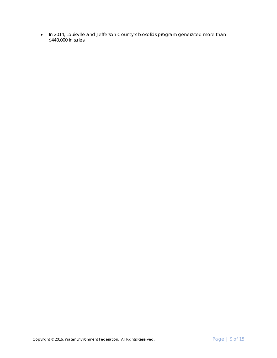• In 2014, Louisville and Jefferson County's biosolids program generated more than \$440,000 in sales.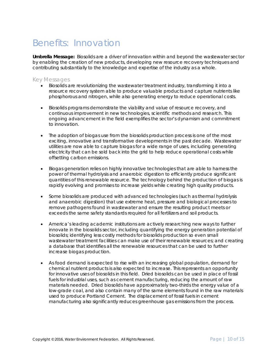## <span id="page-10-0"></span>Benefits: Innovation

*Umbrella Message:* Biosolids are a driver of innovation within and beyond the wastewater sector by enabling the creation of new products, developing new resource recovery techniques and contributing substantially to the knowledge and expertise of the industry as a whole.

#### Key Messages

- Biosolids are revolutionizing the wastewater treatment industry, transforming it into a resource recovery system able to produce valuable products and capture nutrients like phosphorous and nitrogen, while also generating energy to reduce operational costs.
- Biosolids programs demonstrate the viability and value of resource recovery, and continuous improvement in new technologies, scientific methods and research. This ongoing advancement in the field exemplifies the sector's dynamism and commitment to innovation.
- The adoption of biogas use from the biosolids production process is one of the most exciting, innovative and transformative developments in the past decade. Wastewater utilities are now able to capture biogas for a wide range of uses, including generating electricity that can be sold back into the grid to help reduce operational costs while offsetting carbon emissions.
- Biogas generation relies on highly innovative technologies that are able to harness the power of thermal hydrolysis and anaerobic digestion to efficiently produce significant quantities of this renewable resource. The technology behind the production of biogas is rapidly evolving and promises to increase yields while creating high quality products.
- Some biosolids are produced with advanced technologies (such as thermal hydrolysis and anaerobic digestion) that use extreme heat, pressure and biological processes to remove pathogens found in wastewater and ensure the resulting product meets or exceeds the same safety standards required for all fertilizers and soil products.
- America's leading academic institutions are actively researching new ways to further innovate in the biosolids sector, including quantifying the energy generation potential of biosolids; identifying less costly methods for biosolids production so even small wastewater treatment facilities can make use of their renewable resources; and creating a database that identifies all the renewable resources that can be used to further increase biogas production.
- As food demand is expected to rise with an increasing global population, demand for chemical nutrient products is also expected to increase. This represents an opportunity for innovative uses of biosolids in this field. Dried biosolids can be used in place of fossil fuels for industrial uses, such as cement manufacturing, reducing the amount of raw materials needed. Dried biosolids have approximately two-thirds the energy value of a low-grade coal, and also contain many of the same elements found in the raw materials used to produce Portland Cement. The displacement of fossil fuels in cement manufacturing also significantly reduces greenhouse gas emissions from the process.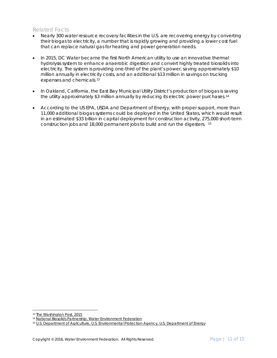- Nearly 300 water resource recovery facilities in the U.S. are recovering energy by converting their biogas to electricity, a number that is rapidly growing and providing a lower cost fuel that can replace natural gas for heating and power generation needs.
- In 2015, DC Water became the first North American utility to use an innovative thermal hydrolysis system to enhance anaerobic digestion and convert highly treated biosolids into electricity. The system is providing one-third of the plant's power, saving approximately \$10 million annually in electricity costs, and an additional \$13 million in savings on trucking expenses and chemicals.[13](#page-11-0)
- In Oakland, California, the East Bay Municipal Utility District's production of biogas is saving the utility approximately \$3 million annually by reducing its electric power purchases.<sup>[14](#page-11-1)</sup>
- According to the US EPA, USDA and Department of Energy, with proper support, more than 11,000 additional biogas systems could be deployed in the United States, which would result in an estimated \$33 billion in capital deployment for construction activity, 275,000 short-term construction jobs and 18,000 permanent jobs to build and run the digesters. [15](#page-11-2)

<span id="page-11-0"></span> <sup>13</sup> *[The Washington Post, 2015](https://www.washingtonpost.com/local/trafficandcommuting/poop-flush-power/2015/10/07/d0c9c6de-6c3a-11e5-9bfe-e59f5e244f92_story.html)*

<span id="page-11-2"></span><span id="page-11-1"></span><sup>14</sup> *[National Biosolids Partnership, Water Environment Federation](http://www.wef.org/uploadedFiles/Biosolids/Biosolids_Management_Program/NBP%20Year-in-Review%20Compiled%2008-DEC-2014ver-rev15.pdf)*

<sup>15</sup> *[U.S. Department of Agriculture, U.S. Environmental Protection Agency, U.S. Department of Energy](http://www.usda.gov/oce/reports/energy/Biogas_Opportunities_Roadmap_8-1-14.pdf)*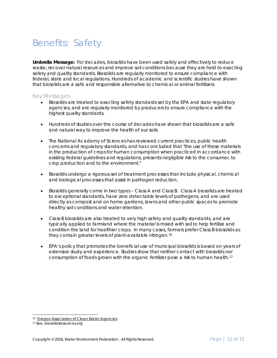# <span id="page-12-0"></span>Benefits: Safety

*Umbrella Message:* For decades, biosolids have been used safely and effectively to reduce waste, recover natural resources and improve soil conditions because they are held to exacting safety and quality standards. Biosolids are regularly monitored to ensure compliance with federal, state and local regulations. Hundreds of academic and scientific studies have shown that biosolids are a safe and responsible alternative to chemical or animal fertilizers.

#### Key Messages

- Biosolids are treated to exacting safety standards set by the EPA and state regulatory agencies, and are regularly monitored by producers to ensure compliance with the highest quality standards.
- Hundreds of studies over the course of decades have shown that biosolids are a safe and natural way to improve the health of our soils.
- The National Academy of Sciences has reviewed current practices, public health concerns and regulatory standards, and has concluded that *"the use of these materials in the production of crops for human consumption when practiced in accordance with existing federal guidelines and regulations, presents negligible risk to the consumer, to crop production and to the environment."*
- Biosolids undergo a rigorous set of treatment processes that include physical, chemical and biological processes that assist in pathogen reduction.
- Biosolids generally come in two types Class A and Class B. Class A biosolids are treated to exceptional standards, have zero detectable levels of pathogens, and are used directly as compost and on home gardens, lawns and other public spaces to promote healthy soil conditions and water retention.
- Class B biosolids are also treated to very high safety and quality standards, and are typically applied to farmland where the material is mixed with soil to help fertilize and condition the land for healthier crops. In many cases, farmers prefer Class B biosolids as they contain greater levels of plant-available nitrogen.[16](#page-12-1)
- EPA's policy that promotes the beneficial use of municipal biosolids is based on years of extensive study and experience. Studies show that neither contact with biosolids nor consumption of foods grown with the organic fertilizer pose a risk to human health.[17](#page-12-2)

 <sup>16</sup> *[Oregon Association of Clean Water Agencies](http://www.nwbiosolids.org/pubs/OR_BiosolidsFactSheet%209_09p.pdf)*

<span id="page-12-2"></span><span id="page-12-1"></span><sup>17</sup> See, biosolidsresources.org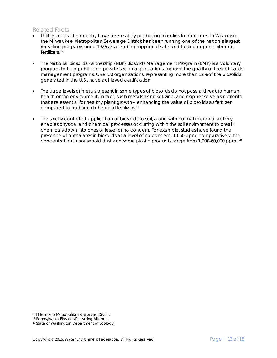- Utilities across the country have been safely producing biosolids for decades. In Wisconsin, the Milwaukee Metropolitan Sewerage District has been running one of the nation's largest recycling programs since 1926 as a leading supplier of safe and trusted organic nitrogen fertilizers.[18](#page-13-0)
- The National Biosolids Partnership (NBP) Biosolids Management Program (BMP) is a voluntary program to help public and private sector organizations improve the quality of their biosolids management programs. Over 30 organizations, representing more than 12% of the biosolids generated in the U.S., have achieved certification.
- The trace levels of metals present in some types of biosolids do not pose a threat to human health or the environment. In fact, such metals as nickel, zinc, and copper serve as nutrients that are essential for healthy plant growth – enhancing the value of biosolids as fertilizer compared to traditional chemical fertilizers.[19](#page-13-1)
- The strictly controlled application of biosolids to soil, along with normal microbial activity enables physical and chemical processes occurring within the soil environment to break chemicals down into ones of lesser or no concern. For example, studies have found the presence of phthalates in biosolids at a level of no concern, 10-50 ppm; comparatively, the concentration in household dust and some plastic products range from 1,000-60,000 ppm. [20](#page-13-2)

<span id="page-13-0"></span> <sup>18</sup> *[Milwaukee Metropolitan Sewerage District](http://www.milorganite.com/header-links/about-us/history)*

<span id="page-13-1"></span><sup>19</sup> *[Pennsylvania Biosolids Recycling Alliance](http://www.pwea.org/docs/biosolids-facts-2.pdf)*

<span id="page-13-2"></span><sup>20</sup> *[State of Washington Department of Ecology](http://www.ecy.wa.gov/programs/swfa/biosolids/faq.html)*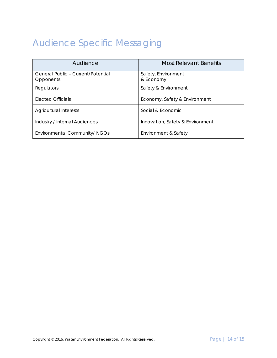# <span id="page-14-0"></span>Audience Specific Messaging

| Audience                                        | <b>Most Relevant Benefits</b>    |
|-------------------------------------------------|----------------------------------|
| General Public - Current/Potential<br>Opponents | Safety, Environment<br>& Economy |
| Regulators                                      | Safety & Environment             |
| Elected Officials                               | Economy, Safety & Environment    |
| <b>Agricultural Interests</b>                   | Social & Economic                |
| Industry / Internal Audiences                   | Innovation, Safety & Environment |
| Environmental Community/ NGOs                   | Environment & Safety             |